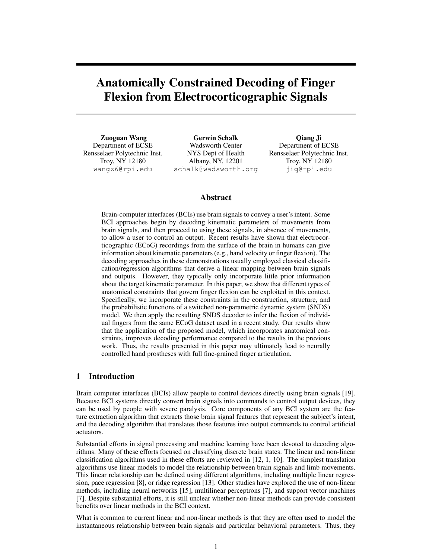# Anatomically Constrained Decoding of Finger Flexion from Electrocorticographic Signals

Zuoguan Wang Department of ECSE Rensselaer Polytechnic Inst. Troy, NY 12180 wangz6@rpi.edu

Gerwin Schalk Wadsworth Center NYS Dept of Health Albany, NY, 12201 schalk@wadsworth.org

Qiang Ji Department of ECSE Rensselaer Polytechnic Inst. Troy, NY 12180 jiq@rpi.edu

# Abstract

Brain-computer interfaces (BCIs) use brain signals to convey a user's intent. Some BCI approaches begin by decoding kinematic parameters of movements from brain signals, and then proceed to using these signals, in absence of movements, to allow a user to control an output. Recent results have shown that electrocorticographic (ECoG) recordings from the surface of the brain in humans can give information about kinematic parameters (e.g., hand velocity or finger flexion). The decoding approaches in these demonstrations usually employed classical classification/regression algorithms that derive a linear mapping between brain signals and outputs. However, they typically only incorporate little prior information about the target kinematic parameter. In this paper, we show that different types of anatomical constraints that govern finger flexion can be exploited in this context. Specifically, we incorporate these constraints in the construction, structure, and the probabilistic functions of a switched non-parametric dynamic system (SNDS) model. We then apply the resulting SNDS decoder to infer the flexion of individual fingers from the same ECoG dataset used in a recent study. Our results show that the application of the proposed model, which incorporates anatomical constraints, improves decoding performance compared to the results in the previous work. Thus, the results presented in this paper may ultimately lead to neurally controlled hand prostheses with full fine-grained finger articulation.

# 1 Introduction

Brain computer interfaces (BCIs) allow people to control devices directly using brain signals [19]. Because BCI systems directly convert brain signals into commands to control output devices, they can be used by people with severe paralysis. Core components of any BCI system are the feature extraction algorithm that extracts those brain signal features that represent the subject's intent, and the decoding algorithm that translates those features into output commands to control artificial actuators.

Substantial efforts in signal processing and machine learning have been devoted to decoding algorithms. Many of these efforts focused on classifying discrete brain states. The linear and non-linear classification algorithms used in these efforts are reviewed in [12, 1, 10]. The simplest translation algorithms use linear models to model the relationship between brain signals and limb movements. This linear relationship can be defined using different algorithms, including multiple linear regression, pace regression [8], or ridge regression [13]. Other studies have explored the use of non-linear methods, including neural networks [15], multilinear perceptrons [7], and support vector machines [7]. Despite substantial efforts, it is still unclear whether non-linear methods can provide consistent benefits over linear methods in the BCI context.

What is common to current linear and non-linear methods is that they are often used to model the instantaneous relationship between brain signals and particular behavioral parameters. Thus, they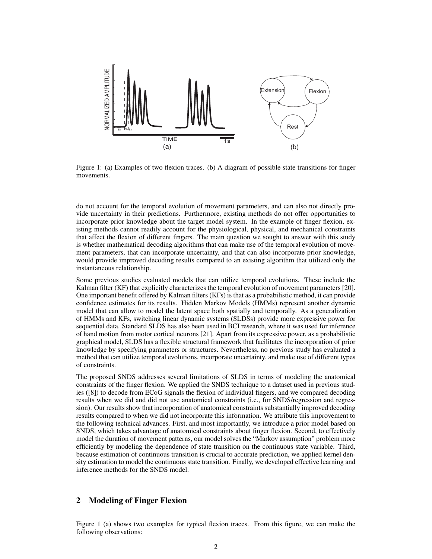

Figure 1: (a) Examples of two flexion traces. (b) A diagram of possible state transitions for finger movements.

do not account for the temporal evolution of movement parameters, and can also not directly provide uncertainty in their predictions. Furthermore, existing methods do not offer opportunities to incorporate prior knowledge about the target model system. In the example of finger flexion, existing methods cannot readily account for the physiological, physical, and mechanical constraints that affect the flexion of different fingers. The main question we sought to answer with this study is whether mathematical decoding algorithms that can make use of the temporal evolution of movement parameters, that can incorporate uncertainty, and that can also incorporate prior knowledge, would provide improved decoding results compared to an existing algorithm that utilized only the instantaneous relationship.

Some previous studies evaluated models that can utilize temporal evolutions. These include the Kalman filter (KF) that explicitly characterizes the temporal evolution of movement parameters [20]. One important benefit offered by Kalman filters (KFs) is that as a probabilistic method, it can provide confidence estimates for its results. Hidden Markov Models (HMMs) represent another dynamic model that can allow to model the latent space both spatially and temporally. As a generalization of HMMs and KFs, switching linear dynamic systems (SLDSs) provide more expressive power for sequential data. Standard SLDS has also been used in BCI research, where it was used for inference of hand motion from motor cortical neurons [21]. Apart from its expressive power, as a probabilistic graphical model, SLDS has a flexible structural framework that facilitates the incorporation of prior knowledge by specifying parameters or structures. Nevertheless, no previous study has evaluated a method that can utilize temporal evolutions, incorporate uncertainty, and make use of different types of constraints.

The proposed SNDS addresses several limitations of SLDS in terms of modeling the anatomical constraints of the finger flexion. We applied the SNDS technique to a dataset used in previous studies ([8]) to decode from ECoG signals the flexion of individual fingers, and we compared decoding results when we did and did not use anatomical constraints (i.e., for SNDS/regression and regression). Our results show that incorporation of anatomical constraints substantially improved decoding results compared to when we did not incorporate this information. We attribute this improvement to the following technical advances. First, and most importantly, we introduce a prior model based on SNDS, which takes advantage of anatomical constraints about finger flexion. Second, to effectively model the duration of movement patterns, our model solves the "Markov assumption" problem more efficiently by modeling the dependence of state transition on the continuous state variable. Third, because estimation of continuous transition is crucial to accurate prediction, we applied kernel density estimation to model the continuous state transition. Finally, we developed effective learning and inference methods for the SNDS model.

# 2 Modeling of Finger Flexion

Figure 1 (a) shows two examples for typical flexion traces. From this figure, we can make the following observations: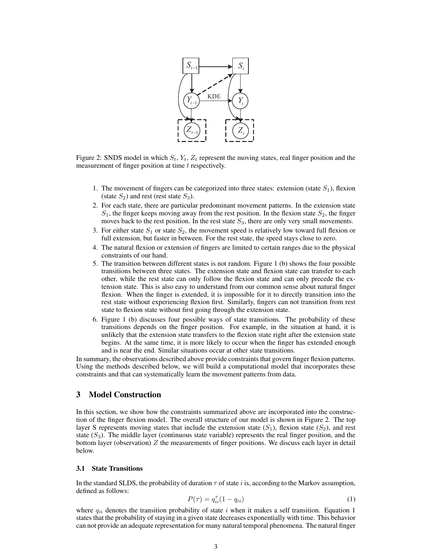

Figure 2: SNDS model in which  $S_t$ ,  $Y_t$ ,  $Z_t$  represent the moving states, real finger position and the measurement of finger position at time  $t$  respectively.

- 1. The movement of fingers can be categorized into three states: extension (state  $S_1$ ), flexion (state  $S_2$ ) and rest (rest state  $S_3$ ).
- 2. For each state, there are particular predominant movement patterns. In the extension state  $S_1$ , the finger keeps moving away from the rest position. In the flexion state  $S_2$ , the finger moves back to the rest position. In the rest state  $S_3$ , there are only very small movements.
- 3. For either state  $S_1$  or state  $S_2$ , the movement speed is relatively low toward full flexion or full extension, but faster in between. For the rest state, the speed stays close to zero.
- 4. The natural flexion or extension of fingers are limited to certain ranges due to the physical constraints of our hand.
- 5. The transition between different states is not random. Figure 1 (b) shows the four possible transitions between three states. The extension state and flexion state can transfer to each other, while the rest state can only follow the flexion state and can only precede the extension state. This is also easy to understand from our common sense about natural finger flexion. When the finger is extended, it is impossible for it to directly transition into the rest state without experiencing flexion first. Similarly, fingers can not transition from rest state to flexion state without first going through the extension state.
- 6. Figure 1 (b) discusses four possible ways of state transitions. The probability of these transitions depends on the finger position. For example, in the situation at hand, it is unlikely that the extension state transfers to the flexion state right after the extension state begins. At the same time, it is more likely to occur when the finger has extended enough and is near the end. Similar situations occur at other state transitions.

In summary, the observations described above provide constraints that govern finger flexion patterns. Using the methods described below, we will build a computational model that incorporates these constraints and that can systematically learn the movement patterns from data.

# 3 Model Construction

In this section, we show how the constraints summarized above are incorporated into the construction of the finger flexion model. The overall structure of our model is shown in Figure 2. The top layer S represents moving states that include the extension state  $(S_1)$ , flexion state  $(S_2)$ , and rest state  $(S_3)$ . The middle layer (continuous state variable) represents the real finger position, and the bottom layer (observation)  $Z$  the measurements of finger positions. We discuss each layer in detail below.

#### 3.1 State Transitions

In the standard SLDS, the probability of duration  $\tau$  of state i is, according to the Markov assumption, defined as follows:

$$
P(\tau) = q_{ii}^{\tau} (1 - q_{ii}) \tag{1}
$$

where  $q_{ii}$  denotes the transition probability of state i when it makes a self transition. Equation 1 states that the probability of staying in a given state decreases exponentially with time. This behavior can not provide an adequate representation for many natural temporal phenomena. The natural finger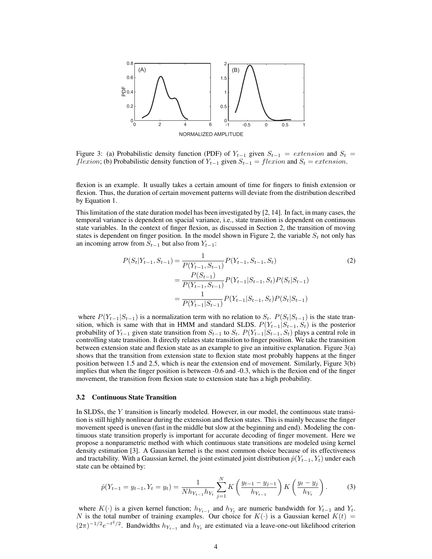

Figure 3: (a) Probabilistic density function (PDF) of  $Y_{t-1}$  given  $S_{t-1}$  = extension and  $S_t$  = *flexion*; (b) Probabilistic density function of  $Y_{t-1}$  given  $S_{t-1} =$  *flexion* and  $S_t =$  *extension*.

flexion is an example. It usually takes a certain amount of time for fingers to finish extension or flexion. Thus, the duration of certain movement patterns will deviate from the distribution described by Equation 1.

This limitation of the state duration model has been investigated by [2, 14]. In fact, in many cases, the temporal variance is dependent on spacial variance, i.e., state transition is dependent on continuous state variables. In the context of finger flexion, as discussed in Section 2, the transition of moving states is dependent on finger position. In the model shown in Figure 2, the variable  $S_t$  not only has an incoming arrow from  $S_{t-1}$  but also from  $Y_{t-1}$ :

$$
P(S_t|Y_{t-1}, S_{t-1}) = \frac{1}{P(Y_{t-1}, S_{t-1})} P(Y_{t-1}, S_{t-1}, S_t)
$$
\n
$$
= \frac{P(S_{t-1})}{P(Y_{t-1}, S_{t-1})} P(Y_{t-1}|S_{t-1}, S_t) P(S_t|S_{t-1})
$$
\n
$$
= \frac{1}{P(Y_{t-1}|S_{t-1})} P(Y_{t-1}|S_{t-1}, S_t) P(S_t|S_{t-1})
$$
\n(2)

where  $P(Y_{t-1}|S_{t-1})$  is a normalization term with no relation to  $S_t$ .  $P(S_t|S_{t-1})$  is the state transition, which is same with that in HMM and standard SLDS.  $P(Y_{t-1}|S_{t-1}, S_t)$  is the posterior probability of  $Y_{t-1}$  given state transition from  $S_{t-1}$  to  $S_t$ .  $P(Y_{t-1}|S_{t-1}, S_t)$  plays a central role in controlling state transition. It directly relates state transition to finger position. We take the transition between extension state and flexion state as an example to give an intuitive explanation. Figure 3(a) shows that the transition from extension state to flexion state most probably happens at the finger position between 1.5 and 2.5, which is near the extension end of movement. Similarly, Figure 3(b) implies that when the finger position is between -0.6 and -0.3, which is the flexion end of the finger movement, the transition from flexion state to extension state has a high probability.

#### 3.2 Continuous State Transition

In SLDSs, the Y transition is linearly modeled. However, in our model, the continuous state transition is still highly nonlinear during the extension and flexion states. This is mainly because the finger movement speed is uneven (fast in the middle but slow at the beginning and end). Modeling the continuous state transition properly is important for accurate decoding of finger movement. Here we propose a nonparametric method with which continuous state transitions are modeled using kernel density estimation [3]. A Gaussian kernel is the most common choice because of its effectiveness and tractability. With a Gaussian kernel, the joint estimated joint distribution  $\hat{p}(Y_{t-1}, Y_t)$  under each state can be obtained by:

$$
\hat{p}(Y_{t-1} = y_{t-1}, Y_t = y_t) = \frac{1}{N h_{Y_{t-1}} h_{Y_t}} \sum_{j=1}^N K\left(\frac{y_{t-1} - y_{j-1}}{h_{Y_{t-1}}}\right) K\left(\frac{y_t - y_j}{h_{Y_t}}\right). \tag{3}
$$

where  $K(\cdot)$  is a given kernel function;  $h_{Y_{t-1}}$  and  $h_{Y_t}$  are numeric bandwidth for  $Y_{t-1}$  and  $Y_t$ . N is the total number of training examples. Our choice for  $K(\cdot)$  is a Gaussian kernel  $K(t)$  =  $(2\pi)^{-1/2}e^{-t^2/2}$ . Bandwidths  $h_{Y_{t-1}}$  and  $h_{Y_t}$  are estimated via a leave-one-out likelihood criterion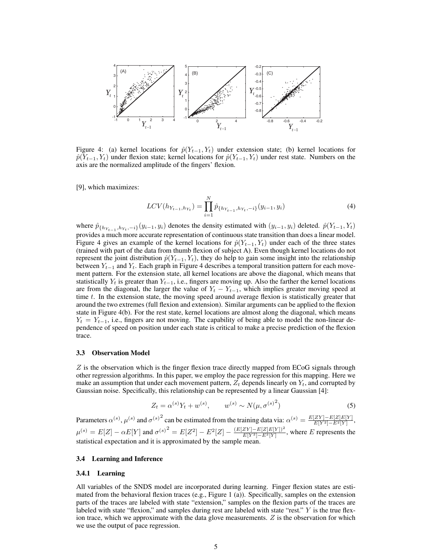

Figure 4: (a) kernel locations for  $\hat{p}(Y_{t-1}, Y_t)$  under extension state; (b) kernel locations for  $\hat{p}(Y_{t-1}, Y_t)$  under flexion state; kernel locations for  $\hat{p}(Y_{t-1}, Y_t)$  under rest state. Numbers on the axis are the normalized amplitude of the fingers' flexion.

[9], which maximizes:

$$
LCV(h_{Y_{t-1},h_{Y_t}}) = \prod_{i=1}^{N} \hat{p}_{\{h_{Y_{t-1}},h_{Y_t},-i\}}(y_{i-1},y_i)
$$
\n(4)

where  $\hat{p}_{\{h_{Y_{t-1}, h_{Y_t}, -i\}}(y_{i-1}, y_i)$  denotes the density estimated with  $(y_{i-1}, y_i)$  deleted.  $\hat{p}(Y_{t-1}, Y_t)$ provides a much more accurate representation of continuous state transition than does a linear model. Figure 4 gives an example of the kernel locations for  $\hat{p}(Y_{t-1}, Y_t)$  under each of the three states (trained with part of the data from thumb flexion of subject A). Even though kernel locations do not represent the joint distribution  $\hat{p}(Y_{t-1}, Y_t)$ , they do help to gain some insight into the relationship between  $Y_{t-1}$  and  $Y_t$ . Each graph in Figure 4 describes a temporal transition pattern for each movement pattern. For the extension state, all kernel locations are above the diagonal, which means that statistically  $Y_t$  is greater than  $Y_{t-1}$ , i.e., fingers are moving up. Also the farther the kernel locations are from the diagonal, the larger the value of  $Y_t - Y_{t-1}$ , which implies greater moving speed at time  $t$ . In the extension state, the moving speed around average flexion is statistically greater that around the two extremes (full flexion and extension). Similar arguments can be applied to the flexion state in Figure 4(b). For the rest state, kernel locations are almost along the diagonal, which means  $Y_t = Y_{t-1}$ , i.e., fingers are not moving. The capability of being able to model the non-linear dependence of speed on position under each state is critical to make a precise prediction of the flexion trace.

#### 3.3 Observation Model

 $Z$  is the observation which is the finger flexion trace directly mapped from ECoG signals through other regression algorithms. In this paper, we employ the pace regression for this mapping. Here we make an assumption that under each movement pattern,  $Z_t$  depends linearly on  $Y_t$ , and corrupted by Gaussian noise. Specifically, this relationship can be represented by a linear Gaussian [4]:

$$
Z_t = \alpha^{(s)} Y_t + w^{(s)}, \qquad w^{(s)} \sim N(\mu, {\sigma^{(s)}}^2)
$$
 (5)

Parameters  $\alpha^{(s)}$ ,  $\mu^{(s)}$  and  $\sigma^{(s)}^2$  can be estimated from the training data via:  $\alpha^{(s)} = \frac{E[ZY] - E[Z]E[Y]}{E[Y^2] - E^2[Y]}$ ,  $\mu^{(s)} = E[Z] - \alpha E[Y]$  and  ${\sigma^{(s)}}^2 = E[Z^2] - E^2[Z] - \frac{(E[ZY] - E[Z]E[Y])^2}{E[Y^2] - E^2[Y]}$  $\frac{Z[Y] - E[Z]E[Y]}{E[Y^2] - E^2[Y]}$ , where E represents the statistical expectation and it is approximated by the sample mean.

#### 3.4 Learning and Inference

#### 3.4.1 Learning

All variables of the SNDS model are incorporated during learning. Finger flexion states are estimated from the behavioral flexion traces (e.g., Figure 1 (a)). Specifically, samples on the extension parts of the traces are labeled with state "extension," samples on the flexion parts of the traces are labeled with state "flexion," and samples during rest are labeled with state "rest."  $Y$  is the true flexion trace, which we approximate with the data glove measurements.  $Z$  is the observation for which we use the output of pace regression.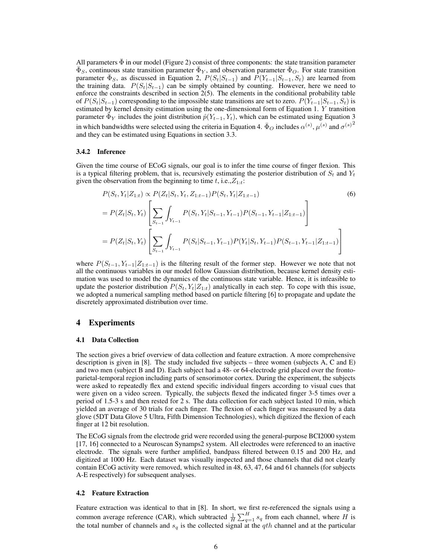All parameters  $\bar{\Phi}$  in our model (Figure 2) consist of three components: the state transition parameter  $\bar{\Phi}_S$ , continuous state transition parameter  $\bar{\Phi}_Y$ , and observation parameter  $\bar{\Phi}_O$ . For state transition parameter  $\bar{\Phi}_S$ , as discussed in Equation 2,  $P(S_t|S_{t-1})$  and  $P(Y_{t-1}|S_{t-1}, S_t)$  are learned from the training data.  $P(S_t|S_{t-1})$  can be simply obtained by counting. However, here we need to enforce the constraints described in section 2(5). The elements in the conditional probability table of  $P(S_t|S_{t-1})$  corresponding to the impossible state transitions are set to zero.  $P(Y_{t-1}|S_{t-1}, S_t)$  is estimated by kernel density estimation using the one-dimensional form of Equation 1.  $\overline{Y}$  transition parameter  $\bar{\Phi}_Y$  includes the joint distribution  $\hat{p}(Y_{t-1}, Y_t)$ , which can be estimated using Equation 3 in which bandwidths were selected using the criteria in Equation 4.  $\bar{\Phi}_O$  includes  $\alpha^{(s)}$ ,  $\mu^{(s)}$  and  $\sigma^{(s)}$ <sup>2</sup> and they can be estimated using Equations in section 3.3.

#### 3.4.2 Inference

Given the time course of ECoG signals, our goal is to infer the time course of finger flexion. This is a typical filtering problem, that is, recursively estimating the posterior distribution of  $S_t$  and  $Y_t$ given the observation from the beginning to time t, i.e.,  $Z_{1:t}$ :

$$
P(S_t, Y_t | Z_{1:t}) \propto P(Z_t | S_t, Y_t, Z_{1:t-1}) P(S_t, Y_t | Z_{1:t-1})
$$
\n
$$
= P(Z_t | S_t, Y_t) \left[ \sum_{S_{t-1}} \int_{Y_{t-1}} P(S_t, Y_t | S_{t-1}, Y_{t-1}) P(S_{t-1}, Y_{t-1} | Z_{1:t-1}) \right]
$$
\n
$$
= P(Z_t | S_t, Y_t) \left[ \sum_{S_{t-1}} \int_{Y_{t-1}} P(S_t | S_{t-1}, Y_{t-1}) P(Y_t | S_t, Y_{t-1}) P(S_{t-1}, Y_{t-1} | Z_{1:t-1}) \right]
$$
\n(6)

where  $P(S_{t-1}, Y_{t-1}|Z_{1:t-1})$  is the filtering result of the former step. However we note that not all the continuous variables in our model follow Gaussian distribution, because kernel density estimation was used to model the dynamics of the continuous state variable. Hence, it is infeasible to update the posterior distribution  $P(S_t, Y_t|Z_{1:t})$  analytically in each step. To cope with this issue, we adopted a numerical sampling method based on particle filtering [6] to propagate and update the discretely approximated distribution over time.

# 4 Experiments

#### 4.1 Data Collection

The section gives a brief overview of data collection and feature extraction. A more comprehensive description is given in [8]. The study included five subjects – three women (subjects A, C and E) and two men (subject B and D). Each subject had a 48- or 64-electrode grid placed over the frontoparietal-temporal region including parts of sensorimotor cortex. During the experiment, the subjects were asked to repeatedly flex and extend specific individual fingers according to visual cues that were given on a video screen. Typically, the subjects flexed the indicated finger 3-5 times over a period of 1.5-3 s and then rested for 2 s. The data collection for each subject lasted 10 min, which yielded an average of 30 trials for each finger. The flexion of each finger was measured by a data glove (5DT Data Glove 5 Ultra, Fifth Dimension Technologies), which digitized the flexion of each finger at 12 bit resolution.

The ECoG signals from the electrode grid were recorded using the general-purpose BCI2000 system [17, 16] connected to a Neuroscan Synamps2 system. All electrodes were referenced to an inactive electrode. The signals were further amplified, bandpass filtered between 0.15 and 200 Hz, and digitized at 1000 Hz. Each dataset was visually inspected and those channels that did not clearly contain ECoG activity were removed, which resulted in 48, 63, 47, 64 and 61 channels (for subjects A-E respectively) for subsequent analyses.

#### 4.2 Feature Extraction

Feature extraction was identical to that in [8]. In short, we first re-referenced the signals using a common average reference (CAR), which subtracted  $\frac{1}{H} \sum_{q=1}^{H} s_q$  from each channel, where H is the total number of channels and  $s_q$  is the collected signal at the qth channel and at the particular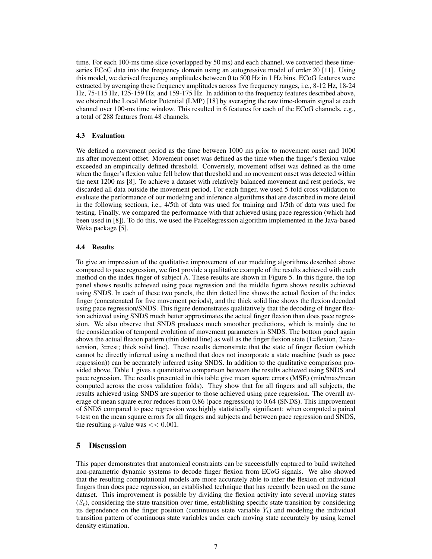time. For each 100-ms time slice (overlapped by 50 ms) and each channel, we converted these timeseries ECoG data into the frequency domain using an autogressive model of order 20 [11]. Using this model, we derived frequency amplitudes between 0 to 500 Hz in 1 Hz bins. ECoG features were extracted by averaging these frequency amplitudes across five frequency ranges, i.e., 8-12 Hz, 18-24 Hz, 75-115 Hz, 125-159 Hz, and 159-175 Hz. In addition to the frequency features described above, we obtained the Local Motor Potential (LMP) [18] by averaging the raw time-domain signal at each channel over 100-ms time window. This resulted in 6 features for each of the ECoG channels, e.g., a total of 288 features from 48 channels.

#### 4.3 Evaluation

We defined a movement period as the time between 1000 ms prior to movement onset and 1000 ms after movement offset. Movement onset was defined as the time when the finger's flexion value exceeded an empirically defined threshold. Conversely, movement offset was defined as the time when the finger's flexion value fell below that threshold and no movement onset was detected within the next 1200 ms [8]. To achieve a dataset with relatively balanced movement and rest periods, we discarded all data outside the movement period. For each finger, we used 5-fold cross validation to evaluate the performance of our modeling and inference algorithms that are described in more detail in the following sections, i.e., 4/5th of data was used for training and 1/5th of data was used for testing. Finally, we compared the performance with that achieved using pace regression (which had been used in [8]). To do this, we used the PaceRegression algorithm implemented in the Java-based Weka package [5].

#### 4.4 Results

To give an impression of the qualitative improvement of our modeling algorithms described above compared to pace regression, we first provide a qualitative example of the results achieved with each method on the index finger of subject A. These results are shown in Figure 5. In this figure, the top panel shows results achieved using pace regression and the middle figure shows results achieved using SNDS. In each of these two panels, the thin dotted line shows the actual flexion of the index finger (concatenated for five movement periods), and the thick solid line shows the flexion decoded using pace regression/SNDS. This figure demonstrates qualitatively that the decoding of finger flexion achieved using SNDS much better approximates the actual finger flexion than does pace regression. We also observe that SNDS produces much smoother predictions, which is mainly due to the consideration of temporal evolution of movement parameters in SNDS. The bottom panel again shows the actual flexion pattern (thin dotted line) as well as the finger flexion state (1=flexion, 2=extension, 3=rest; thick solid line). These results demonstrate that the state of finger flexion (which cannot be directly inferred using a method that does not incorporate a state machine (such as pace regression)) can be accurately inferred using SNDS. In addition to the qualitative comparison provided above, Table 1 gives a quantitative comparison between the results achieved using SNDS and pace regression. The results presented in this table give mean square errors (MSE) (min/max/mean computed across the cross validation folds). They show that for all fingers and all subjects, the results achieved using SNDS are superior to those achieved using pace regression. The overall average of mean square error reduces from 0.86 (pace regression) to 0.64 (SNDS). This improvement of SNDS compared to pace regression was highly statistically significant: when computed a paired t-test on the mean square errors for all fingers and subjects and between pace regression and SNDS, the resulting *p*-value was  $<< 0.001$ .

# 5 Discussion

This paper demonstrates that anatomical constraints can be successfully captured to build switched non-parametric dynamic systems to decode finger flexion from ECoG signals. We also showed that the resulting computational models are more accurately able to infer the flexion of individual fingers than does pace regression, an established technique that has recently been used on the same dataset. This improvement is possible by dividing the flexion activity into several moving states  $(S_t)$ , considering the state transition over time, establishing specific state transition by considering its dependence on the finger position (continuous state variable  $Y_t$ ) and modeling the individual transition pattern of continuous state variables under each moving state accurately by using kernel density estimation.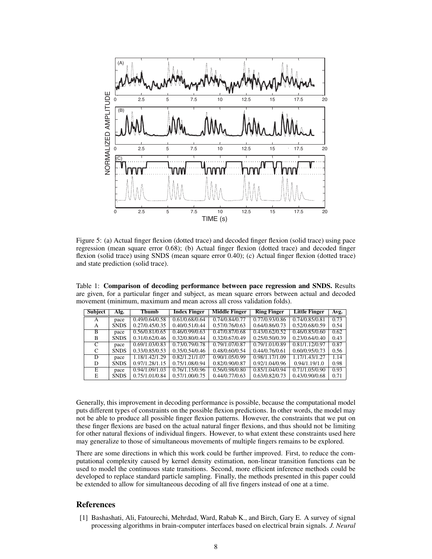

Figure 5: (a) Actual finger flexion (dotted trace) and decoded finger flexion (solid trace) using pace regression (mean square error 0.68); (b) Actual finger flexion (dotted trace) and decoded finger flexion (solid trace) using SNDS (mean square error 0.40); (c) Actual finger flexion (dotted trace) and state prediction (solid trace).

Table 1: Comparison of decoding performance between pace regression and SNDS. Results are given, for a particular finger and subject, as mean square errors between actual and decoded movement (minimum, maximum and mean across all cross validation folds).

| <b>Subject</b> | Alg.        | Thumb          | <b>Index Finger</b> | <b>Middle Finger</b> | <b>Ring Finger</b> | <b>Little Finger</b> | Avg. $\vert$ |
|----------------|-------------|----------------|---------------------|----------------------|--------------------|----------------------|--------------|
| A              | pace        | 0.49/0.64/0.58 | 0.61/0.68/0.64      | 0.74/0.84/0.77       | 0.77/0.93/0.86     | 0.74/0.85/0.81       | 0.73         |
| A              | <b>SNDS</b> | 0.27/0.45/0.35 | 0.40/0.51/0.44      | 0.57/0.76/0.63       | 0.64/0.86/0.73     | 0.52/0.68/0.59       | 0.54         |
| B              | pace        | 0.56/0.81/0.65 | 0.46/0.99/0.63      | 0.47/0.87/0.68       | 0.43/0.62/0.52     | 0.46/0.85/0.60       | 0.62         |
| B              | <b>SNDS</b> | 0.31/0.62/0.46 | 0.32/0.80/0.44      | 0.32/0.67/0.49       | 0.25/0.50/0.39     | 0.23/0.64/0.40       | 0.43         |
| $\mathsf{C}$   | pace        | 0.69/1.03/0.83 | 0.73/0.79/0.78      | 0.79/1.07/0.87       | 0.79/1.01/0.89     | 0.81/1.12/0.97       | 0.87         |
| C              | <b>SNDS</b> | 0.33/0.85/0.53 | 0.35/0.54/0.46      | 0.48/0.60/0.54       | 0.44/0.76/0.61     | 0.60/0.95/0.73       | 0.56         |
| D              | pace        | 1.18/1.42/1.29 | 0.82/1.21/1.07      | 0.90/1.05/0.99       | 0.98/1.17/1.09     | 1.17/1.43/1.27       | 1.14         |
| D              | <b>SNDS</b> | 0.97/1.28/1.15 | 0.75/1.08/0.94      | 0.82/0.90/0.87       | 0.92/1.04/0.96     | 0.94/1.19/1.0        | 0.98         |
| E              | pace        | 0.94/1.09/1.03 | 0.76/1.15/0.96      | 0.56/0.98/0.80       | 0.85/1.04/0.94     | 0.71/1.05/0.90       | 0.93         |
| E              | <b>SNDS</b> | 0.75/1.01/0.84 | 0.57/1.00/0.75      | 0.44/0.77/0.63       | 0.63/0.82/0.73     | 0.43/0.90/0.68       | 0.71         |

Generally, this improvement in decoding performance is possible, because the computational model puts different types of constraints on the possible flexion predictions. In other words, the model may not be able to produce all possible finger flexion patterns. However, the constraints that we put on these finger flexions are based on the actual natural finger flexions, and thus should not be limiting for other natural flexions of individual fingers. However, to what extent these constraints used here may generalize to those of simultaneous movements of multiple fingers remains to be explored.

There are some directions in which this work could be further improved. First, to reduce the computational complexity caused by kernel density estimation, non-linear transition functions can be used to model the continuous state transitions. Second, more efficient inference methods could be developed to replace standard particle sampling. Finally, the methods presented in this paper could be extended to allow for simultaneous decoding of all five fingers instead of one at a time.

## References

[1] Bashashati, Ali, Fatourechi, Mehrdad, Ward, Rabab K., and Birch, Gary E. A survey of signal processing algorithms in brain-computer interfaces based on electrical brain signals. *J. Neural*